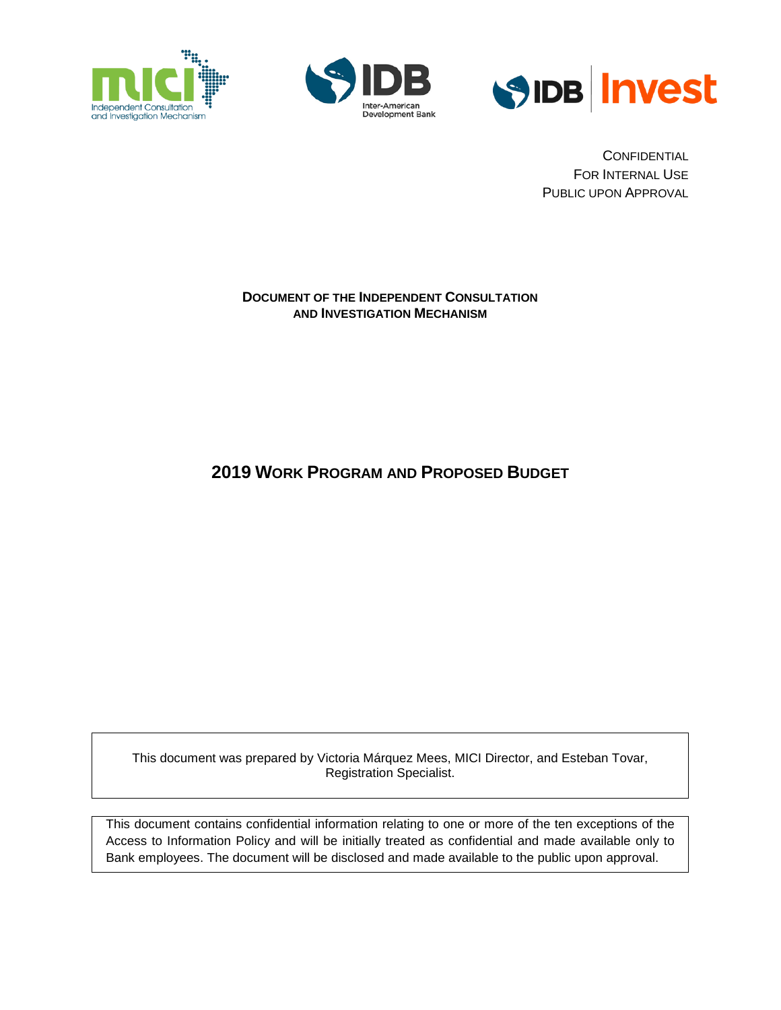





**CONFIDENTIAL** FOR INTERNAL USE PUBLIC UPON APPROVAL

#### **DOCUMENT OF THE INDEPENDENT CONSULTATION AND INVESTIGATION MECHANISM**

**2019 WORK PROGRAM AND PROPOSED BUDGET**

This document was prepared by Victoria Márquez Mees, MICI Director, and Esteban Tovar, Registration Specialist.

This document contains confidential information relating to one or more of the ten exceptions of the Access to Information Policy and will be initially treated as confidential and made available only to Bank employees. The document will be disclosed and made available to the public upon approval.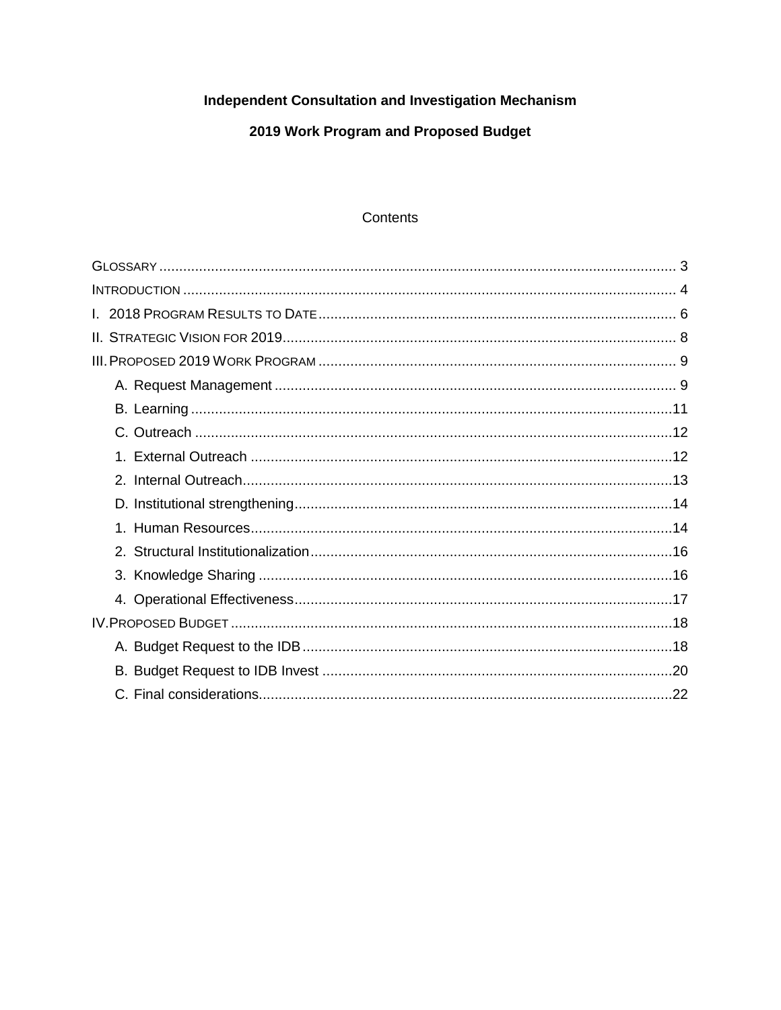# Independent Consultation and Investigation Mechanism

# 2019 Work Program and Proposed Budget

#### Contents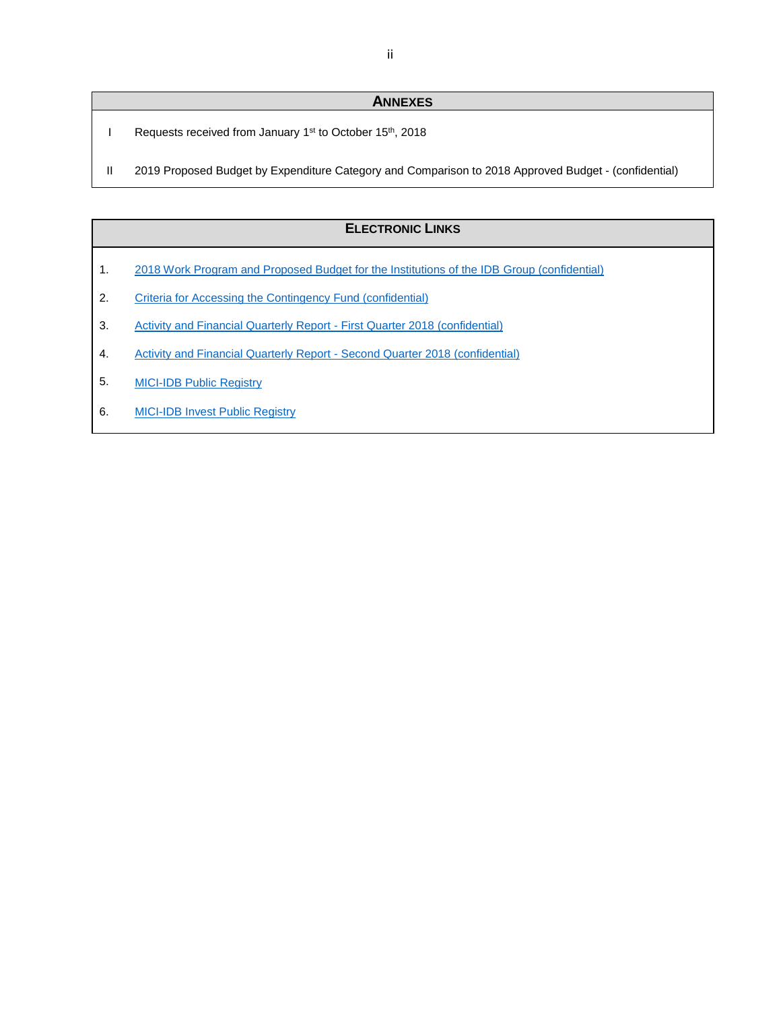#### **ANNEXES**

- I Requests received from January 1<sup>st</sup> to October 15<sup>th</sup>, 2018
- II 2019 Proposed Budget by Expenditure Category and Comparison to 2018 Approved Budget (confidential)

#### **ELECTRONIC LINKS**

- 1. 2018 Work Program and Proposed Budget for the Institutions of the IDB Group (confidential)
- 2. Criteria for Accessing the Contingency Fund (confidential)
- 3. Activity and Financial Quarterly Report First Quarter 2018 (confidential)
- 4. Activity and Financial Quarterly Report Second Quarter 2018 (confidential)
- 5. [MICI-IDB Public Registry](https://www.iadb.org/en/mici/idb-public-registry-chronological)
- 6. [MICI-IDB Invest Public Registry](https://www.iadb.org/en/mici/idb-invest-public-registry-chronological)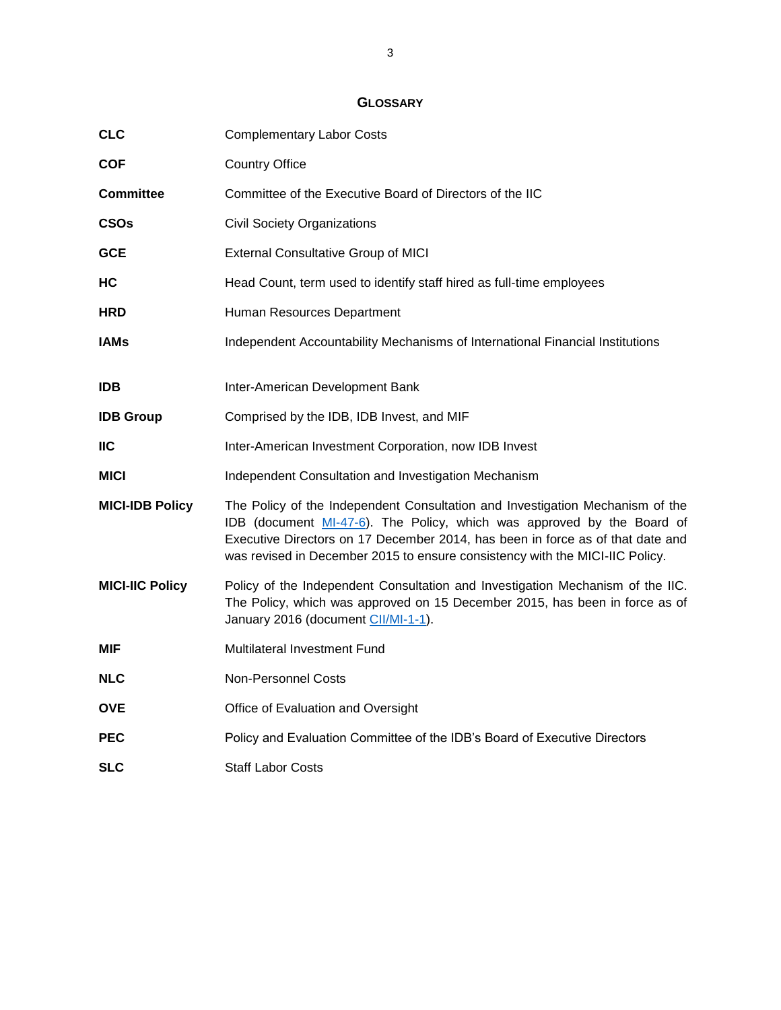# **GLOSSARY**

<span id="page-3-0"></span>

| <b>CLC</b>             | <b>Complementary Labor Costs</b>                                                                                                                                                                                                                                                                                          |
|------------------------|---------------------------------------------------------------------------------------------------------------------------------------------------------------------------------------------------------------------------------------------------------------------------------------------------------------------------|
| <b>COF</b>             | <b>Country Office</b>                                                                                                                                                                                                                                                                                                     |
| <b>Committee</b>       | Committee of the Executive Board of Directors of the IIC                                                                                                                                                                                                                                                                  |
| <b>CSOs</b>            | <b>Civil Society Organizations</b>                                                                                                                                                                                                                                                                                        |
| <b>GCE</b>             | <b>External Consultative Group of MICI</b>                                                                                                                                                                                                                                                                                |
| НC                     | Head Count, term used to identify staff hired as full-time employees                                                                                                                                                                                                                                                      |
| <b>HRD</b>             | Human Resources Department                                                                                                                                                                                                                                                                                                |
| <b>IAMs</b>            | Independent Accountability Mechanisms of International Financial Institutions                                                                                                                                                                                                                                             |
| <b>IDB</b>             | Inter-American Development Bank                                                                                                                                                                                                                                                                                           |
| <b>IDB Group</b>       | Comprised by the IDB, IDB Invest, and MIF                                                                                                                                                                                                                                                                                 |
| IIC.                   | Inter-American Investment Corporation, now IDB Invest                                                                                                                                                                                                                                                                     |
| <b>MICI</b>            | Independent Consultation and Investigation Mechanism                                                                                                                                                                                                                                                                      |
| <b>MICI-IDB Policy</b> | The Policy of the Independent Consultation and Investigation Mechanism of the<br>IDB (document MI-47-6). The Policy, which was approved by the Board of<br>Executive Directors on 17 December 2014, has been in force as of that date and<br>was revised in December 2015 to ensure consistency with the MICI-IIC Policy. |
| <b>MICI-IIC Policy</b> | Policy of the Independent Consultation and Investigation Mechanism of the IIC.<br>The Policy, which was approved on 15 December 2015, has been in force as of<br>January 2016 (document CII/MI-1-1).                                                                                                                      |
| MIF                    | Multilateral Investment Fund                                                                                                                                                                                                                                                                                              |
| <b>NLC</b>             | <b>Non-Personnel Costs</b>                                                                                                                                                                                                                                                                                                |
| <b>OVE</b>             | Office of Evaluation and Oversight                                                                                                                                                                                                                                                                                        |
| <b>PEC</b>             | Policy and Evaluation Committee of the IDB's Board of Executive Directors                                                                                                                                                                                                                                                 |
| SLC                    | <b>Staff Labor Costs</b>                                                                                                                                                                                                                                                                                                  |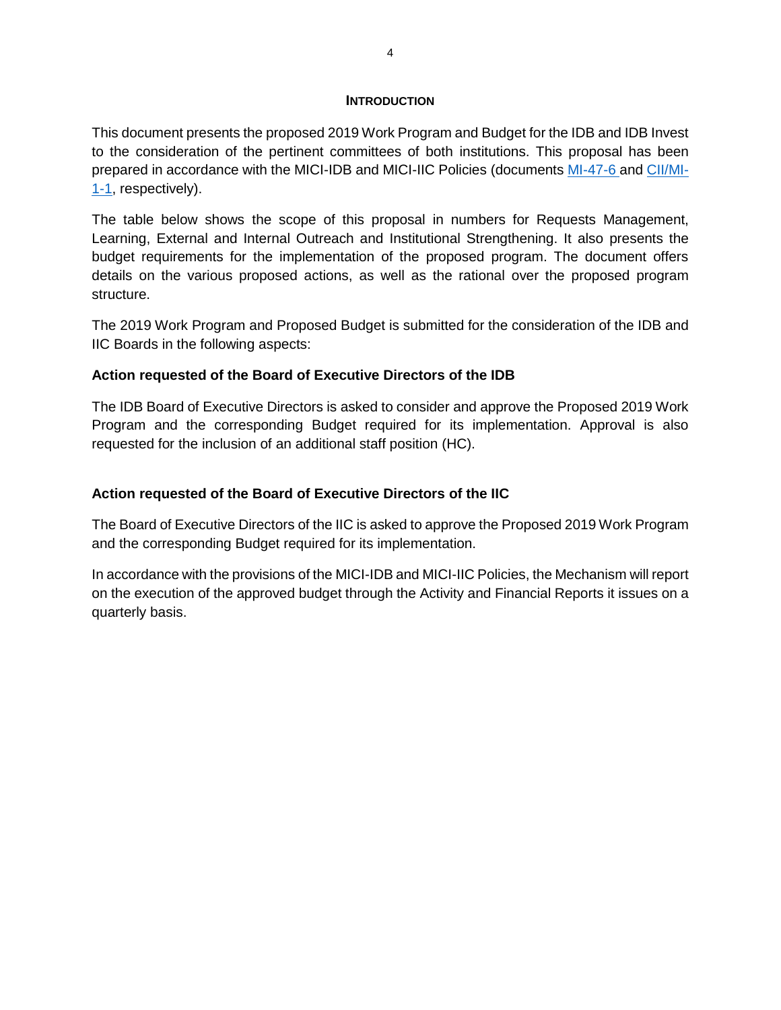#### **INTRODUCTION**

<span id="page-4-0"></span>This document presents the proposed 2019 Work Program and Budget for the IDB and IDB Invest to the consideration of the pertinent committees of both institutions. This proposal has been prepared in accordance with the MICI-IDB and MICI-IIC Policies (documents [MI-47-6](http://idbdocs.iadb.org/wsdocs/getdocument.aspx?docnum=40792853) and [CII/MI-](http://idbdocs.iadb.org/wsdocs/getdocument.aspx?docnum=40151002)[1-1,](http://idbdocs.iadb.org/wsdocs/getdocument.aspx?docnum=40151002) respectively).

The table below shows the scope of this proposal in numbers for Requests Management, Learning, External and Internal Outreach and Institutional Strengthening. It also presents the budget requirements for the implementation of the proposed program. The document offers details on the various proposed actions, as well as the rational over the proposed program structure.

The 2019 Work Program and Proposed Budget is submitted for the consideration of the IDB and IIC Boards in the following aspects:

## **Action requested of the Board of Executive Directors of the IDB**

The IDB Board of Executive Directors is asked to consider and approve the Proposed 2019 Work Program and the corresponding Budget required for its implementation. Approval is also requested for the inclusion of an additional staff position (HC).

## **Action requested of the Board of Executive Directors of the IIC**

The Board of Executive Directors of the IIC is asked to approve the Proposed 2019 Work Program and the corresponding Budget required for its implementation.

In accordance with the provisions of the MICI-IDB and MICI-IIC Policies, the Mechanism will report on the execution of the approved budget through the Activity and Financial Reports it issues on a quarterly basis.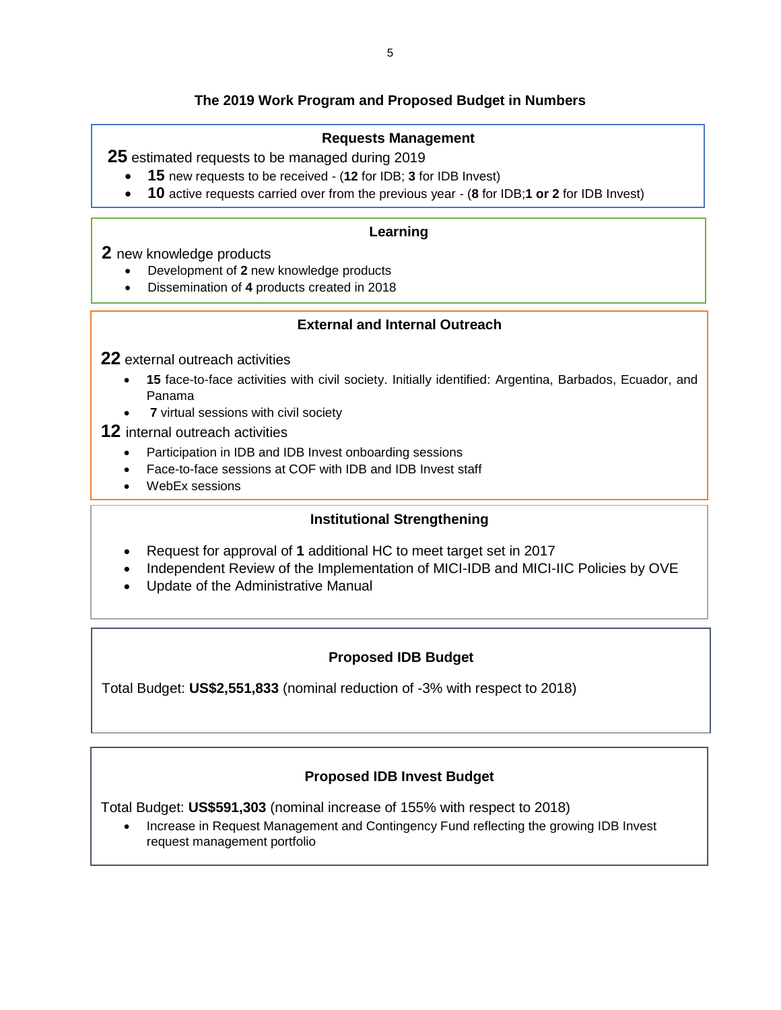# **The 2019 Work Program and Proposed Budget in Numbers**

# **Requests Management**

**25** estimated requests to be managed during 2019

- **15** new requests to be received (**12** for IDB; **3** for IDB Invest)
- **10** active requests carried over from the previous year (**8** for IDB;**1 or 2** for IDB Invest)

## **Learning**

## **2** new knowledge products

- Development of **2** new knowledge products
- Dissemination of **4** products created in 2018

# **External and Internal Outreach**

## **22** external outreach activities

- **15** face-to-face activities with civil society. Initially identified: Argentina, Barbados, Ecuador, and Panama
- **7** virtual sessions with civil society

## **12** internal outreach activities

- Participation in IDB and IDB Invest onboarding sessions
- Face-to-face sessions at COF with IDB and IDB Invest staff
- WebEx sessions

•

# **Institutional Strengthening**

- Request for approval of **1** additional HC to meet target set in 2017
- Independent Review of the Implementation of MICI-IDB and MICI-IIC Policies by OVE
- Update of the Administrative Manual

# **Proposed IDB Budget**

Total Budget: **US\$2,551,833** (nominal reduction of -3% with respect to 2018)

# **Proposed IDB Invest Budget**

Total Budget: **US\$591,303** (nominal increase of 155% with respect to 2018)

• Increase in Request Management and Contingency Fund reflecting the growing IDB Invest request management portfolio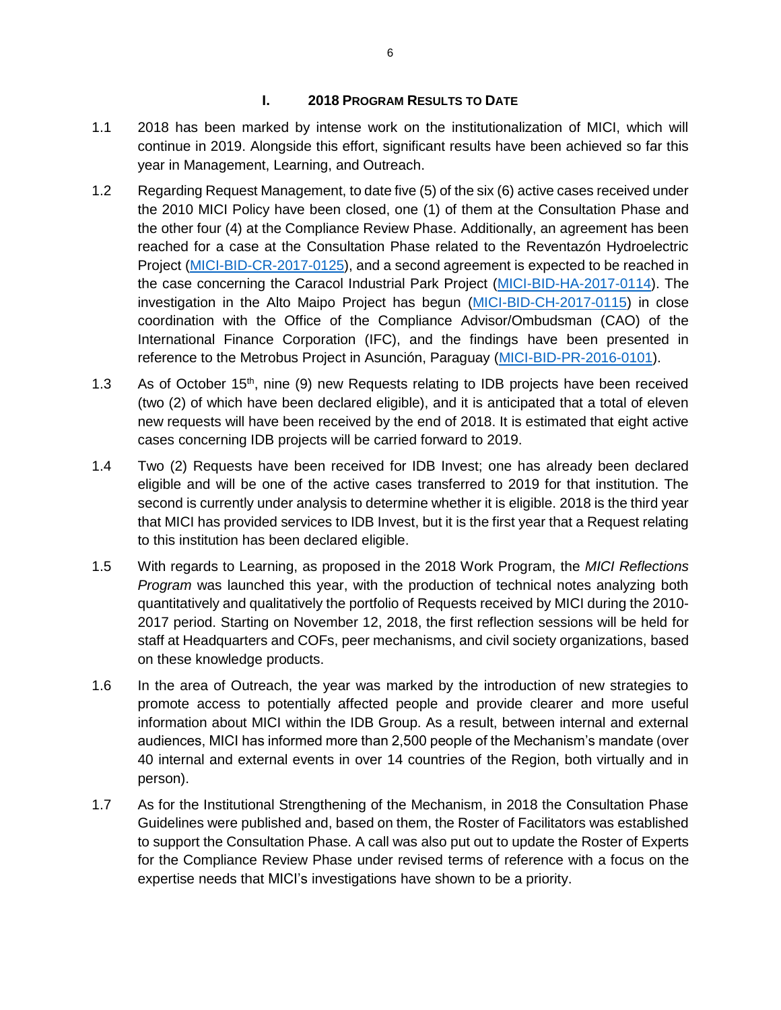#### **I. 2018 PROGRAM RESULTS TO DATE**

- <span id="page-6-0"></span>1.1 2018 has been marked by intense work on the institutionalization of MICI, which will continue in 2019. Alongside this effort, significant results have been achieved so far this year in Management, Learning, and Outreach.
- 1.2 Regarding Request Management, to date five (5) of the six (6) active cases received under the 2010 MICI Policy have been closed, one (1) of them at the Consultation Phase and the other four (4) at the Compliance Review Phase. Additionally, an agreement has been reached for a case at the Consultation Phase related to the Reventazón Hydroelectric Project [\(MICI-BID-CR-2017-0125\)](https://idblegacy.iadb.org/en/mici/complaint-detail-drupal,21185.html?ID=MICI-BID-CR-2017-0125&language=English), and a second agreement is expected to be reached in the case concerning the Caracol Industrial Park Project [\(MICI-BID-HA-2017-0114\)](https://idblegacy.iadb.org/en/mici/complaint-detail-drupal,21185.html?ID=MICI-BID-HA-2017-0114&language=English). The investigation in the Alto Maipo Project has begun [\(MICI-BID-CH-2017-0115\)](https://idblegacy.iadb.org/en/mici/complaint-detail-drupal,21185.html?ID=MICI-BID-CH-2017-0115&language=English) in close coordination with the Office of the Compliance Advisor/Ombudsman (CAO) of the International Finance Corporation (IFC), and the findings have been presented in reference to the Metrobus Project in Asunción, Paraguay [\(MICI-BID-PR-2016-0101\)](https://idblegacy.iadb.org/en/mici/complaint-detail-drupal,21185.html?ID=MICI-BID-PR-2016-0101&language=English).
- 1.3 As of October  $15<sup>th</sup>$ , nine (9) new Requests relating to IDB projects have been received (two (2) of which have been declared eligible), and it is anticipated that a total of eleven new requests will have been received by the end of 2018. It is estimated that eight active cases concerning IDB projects will be carried forward to 2019.
- 1.4 Two (2) Requests have been received for IDB Invest; one has already been declared eligible and will be one of the active cases transferred to 2019 for that institution. The second is currently under analysis to determine whether it is eligible. 2018 is the third year that MICI has provided services to IDB Invest, but it is the first year that a Request relating to this institution has been declared eligible.
- 1.5 With regards to Learning, as proposed in the 2018 Work Program, the *MICI Reflections Program* was launched this year, with the production of technical notes analyzing both quantitatively and qualitatively the portfolio of Requests received by MICI during the 2010- 2017 period. Starting on November 12, 2018, the first reflection sessions will be held for staff at Headquarters and COFs, peer mechanisms, and civil society organizations, based on these knowledge products.
- 1.6 In the area of Outreach, the year was marked by the introduction of new strategies to promote access to potentially affected people and provide clearer and more useful information about MICI within the IDB Group. As a result, between internal and external audiences, MICI has informed more than 2,500 people of the Mechanism's mandate (over 40 internal and external events in over 14 countries of the Region, both virtually and in person).
- 1.7 As for the Institutional Strengthening of the Mechanism, in 2018 the Consultation Phase Guidelines were published and, based on them, the Roster of Facilitators was established to support the Consultation Phase. A call was also put out to update the Roster of Experts for the Compliance Review Phase under revised terms of reference with a focus on the expertise needs that MICI's investigations have shown to be a priority.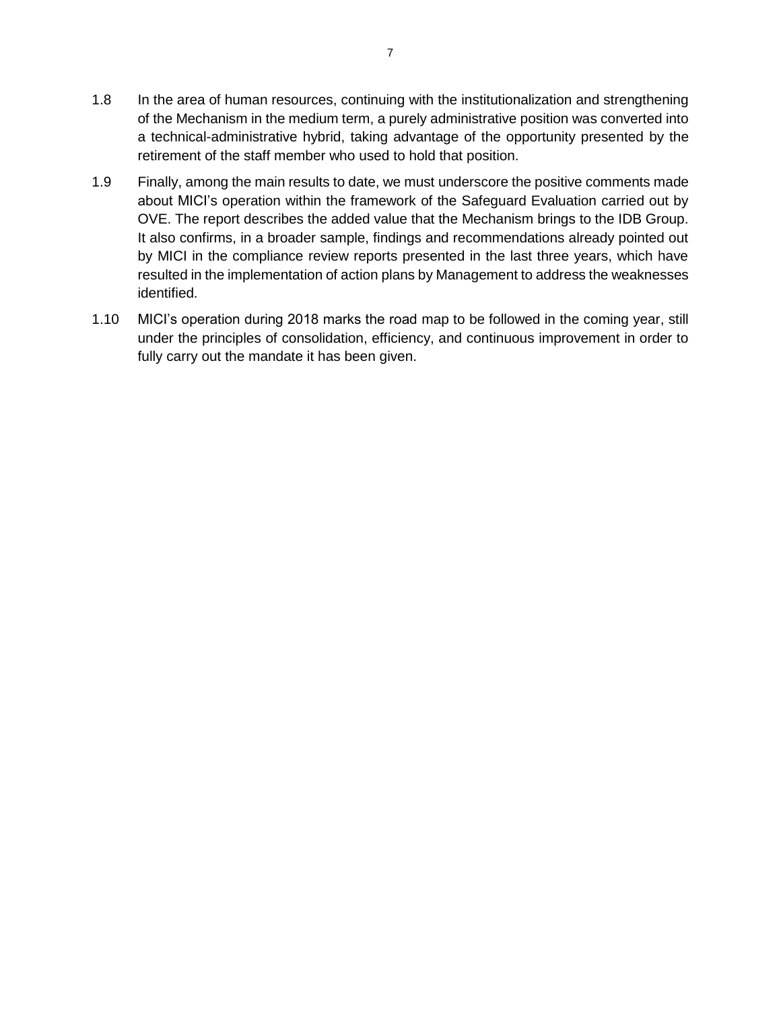- 1.8 In the area of human resources, continuing with the institutionalization and strengthening of the Mechanism in the medium term, a purely administrative position was converted into a technical-administrative hybrid, taking advantage of the opportunity presented by the retirement of the staff member who used to hold that position.
- 1.9 Finally, among the main results to date, we must underscore the positive comments made about MICI's operation within the framework of the Safeguard Evaluation carried out by OVE. The report describes the added value that the Mechanism brings to the IDB Group. It also confirms, in a broader sample, findings and recommendations already pointed out by MICI in the compliance review reports presented in the last three years, which have resulted in the implementation of action plans by Management to address the weaknesses identified.
- 1.10 MICI's operation during 2018 marks the road map to be followed in the coming year, still under the principles of consolidation, efficiency, and continuous improvement in order to fully carry out the mandate it has been given.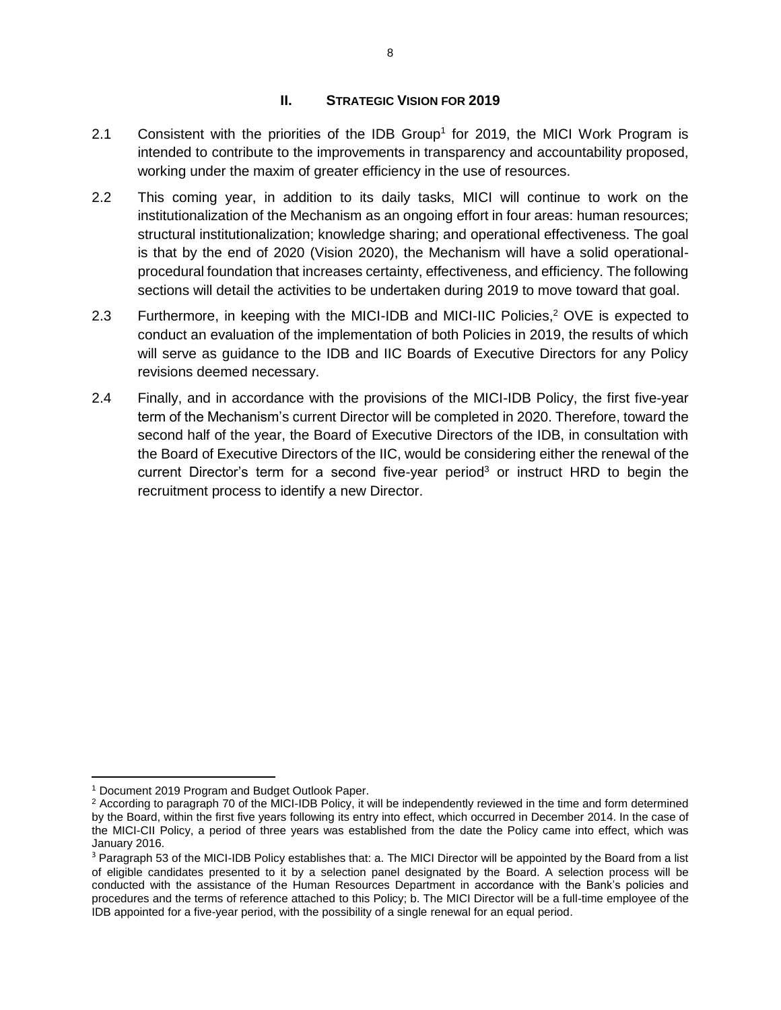#### **II. STRATEGIC VISION FOR 2019**

- <span id="page-8-0"></span>2.1 Consistent with the priorities of the IDB Group<sup>1</sup> for 2019, the MICI Work Program is intended to contribute to the improvements in transparency and accountability proposed, working under the maxim of greater efficiency in the use of resources.
- 2.2 This coming year, in addition to its daily tasks, MICI will continue to work on the institutionalization of the Mechanism as an ongoing effort in four areas: human resources; structural institutionalization; knowledge sharing; and operational effectiveness. The goal is that by the end of 2020 (Vision 2020), the Mechanism will have a solid operationalprocedural foundation that increases certainty, effectiveness, and efficiency. The following sections will detail the activities to be undertaken during 2019 to move toward that goal.
- 2.3 Furthermore, in keeping with the MICI-IDB and MICI-IIC Policies,<sup>2</sup> OVE is expected to conduct an evaluation of the implementation of both Policies in 2019, the results of which will serve as guidance to the IDB and IIC Boards of Executive Directors for any Policy revisions deemed necessary.
- 2.4 Finally, and in accordance with the provisions of the MICI-IDB Policy, the first five-year term of the Mechanism's current Director will be completed in 2020. Therefore, toward the second half of the year, the Board of Executive Directors of the IDB, in consultation with the Board of Executive Directors of the IIC, would be considering either the renewal of the current Director's term for a second five-year period<sup>3</sup> or instruct HRD to begin the recruitment process to identify a new Director.

 $\overline{\phantom{a}}$ <sup>1</sup> Document 2019 Program and Budget Outlook Paper.

<sup>&</sup>lt;sup>2</sup> According to paragraph 70 of the MICI-IDB Policy, it will be independently reviewed in the time and form determined by the Board, within the first five years following its entry into effect, which occurred in December 2014. In the case of the MICI-CII Policy, a period of three years was established from the date the Policy came into effect, which was January 2016.

<sup>&</sup>lt;sup>3</sup> Paragraph 53 of the MICI-IDB Policy establishes that: a. The MICI Director will be appointed by the Board from a list of eligible candidates presented to it by a selection panel designated by the Board. A selection process will be conducted with the assistance of the Human Resources Department in accordance with the Bank's policies and procedures and the terms of reference attached to this Policy; b. The MICI Director will be a full-time employee of the IDB appointed for a five-year period, with the possibility of a single renewal for an equal period.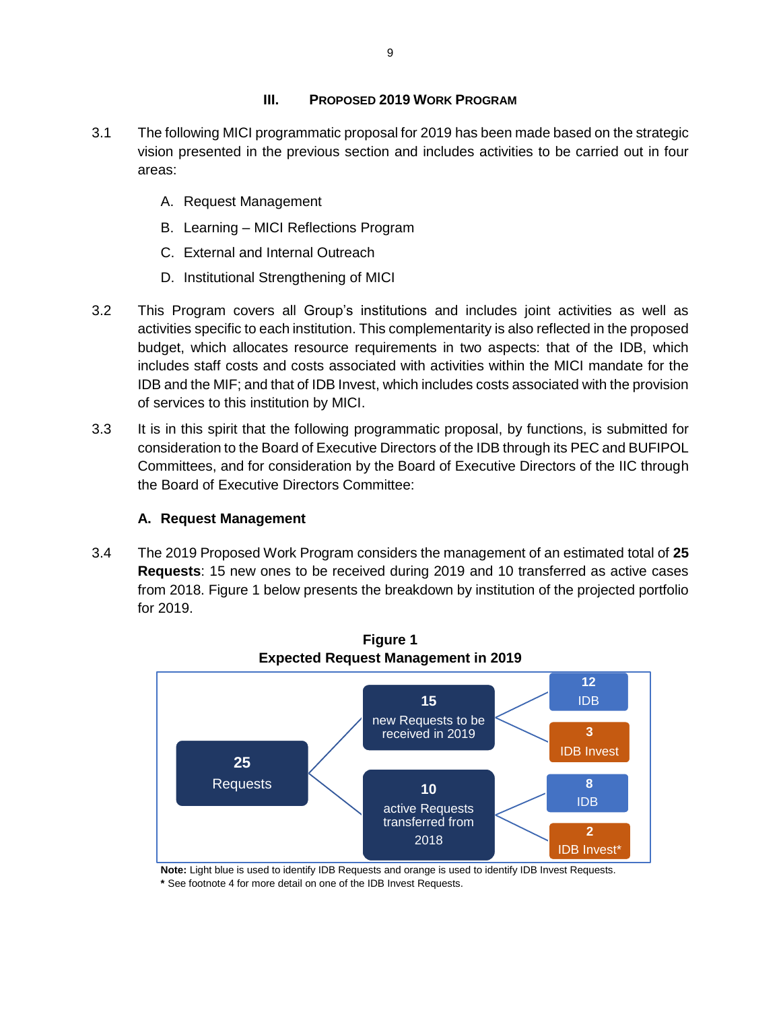## **III. PROPOSED 2019 WORK PROGRAM**

- <span id="page-9-0"></span>3.1 The following MICI programmatic proposal for 2019 has been made based on the strategic vision presented in the previous section and includes activities to be carried out in four areas:
	- A. Request Management
	- B. Learning MICI Reflections Program
	- C. External and Internal Outreach
	- D. Institutional Strengthening of MICI
- 3.2 This Program covers all Group's institutions and includes joint activities as well as activities specific to each institution. This complementarity is also reflected in the proposed budget, which allocates resource requirements in two aspects: that of the IDB, which includes staff costs and costs associated with activities within the MICI mandate for the IDB and the MIF; and that of IDB Invest, which includes costs associated with the provision of services to this institution by MICI.
- 3.3 It is in this spirit that the following programmatic proposal, by functions, is submitted for consideration to the Board of Executive Directors of the IDB through its PEC and BUFIPOL Committees, and for consideration by the Board of Executive Directors of the IIC through the Board of Executive Directors Committee:

## **A. Request Management**

<span id="page-9-1"></span>3.4 The 2019 Proposed Work Program considers the management of an estimated total of **25 Requests**: 15 new ones to be received during 2019 and 10 transferred as active cases from 2018. Figure 1 below presents the breakdown by institution of the projected portfolio for 2019.



**Figure 1**

**Note:** Light blue is used to identify IDB Requests and orange is used to identify IDB Invest Requests. **\*** See footnote 4 for more detail on one of the IDB Invest Requests.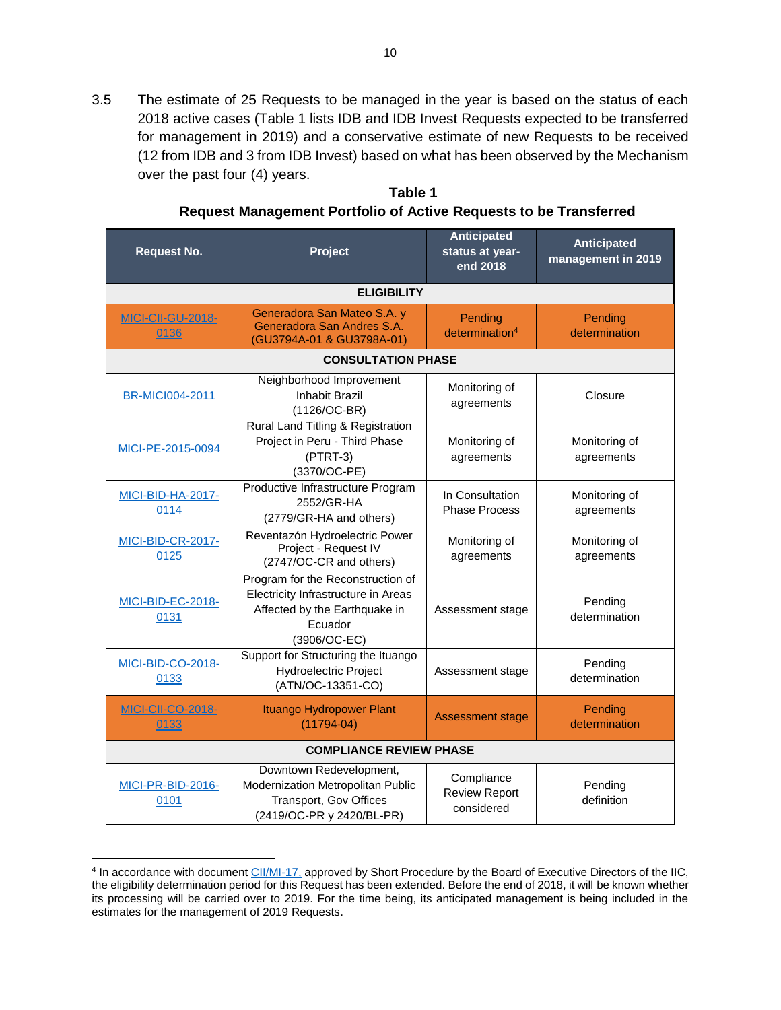3.5 The estimate of 25 Requests to be managed in the year is based on the status of each 2018 active cases (Table 1 lists IDB and IDB Invest Requests expected to be transferred for management in 2019) and a conservative estimate of new Requests to be received (12 from IDB and 3 from IDB Invest) based on what has been observed by the Mechanism over the past four (4) years.

**Table 1 Request Management Portfolio of Active Requests to be Transferred**

| <b>Request No.</b>                                                                                                         | <b>Anticipated</b><br>Project<br>status at year-<br>end 2018                                                                         |                                                  | <b>Anticipated</b><br>management in 2019 |  |  |  |  |  |  |
|----------------------------------------------------------------------------------------------------------------------------|--------------------------------------------------------------------------------------------------------------------------------------|--------------------------------------------------|------------------------------------------|--|--|--|--|--|--|
| <b>ELIGIBILITY</b>                                                                                                         |                                                                                                                                      |                                                  |                                          |  |  |  |  |  |  |
| Generadora San Mateo S.A. y<br><b>MICI-CII-GU-2018-</b><br>Generadora San Andres S.A.<br>0136<br>(GU3794A-01 & GU3798A-01) |                                                                                                                                      | Pending<br>determination <sup>4</sup>            | Pending<br>determination                 |  |  |  |  |  |  |
|                                                                                                                            | <b>CONSULTATION PHASE</b>                                                                                                            |                                                  |                                          |  |  |  |  |  |  |
| <b>BR-MICI004-2011</b>                                                                                                     | Neighborhood Improvement<br><b>Inhabit Brazil</b><br>$(1126/OC-BR)$                                                                  | Monitoring of<br>agreements                      | Closure                                  |  |  |  |  |  |  |
| MICI-PE-2015-0094                                                                                                          | Rural Land Titling & Registration<br>Project in Peru - Third Phase<br>$(PTRT-3)$<br>(3370/OC-PE)                                     | Monitoring of<br>agreements                      | Monitoring of<br>agreements              |  |  |  |  |  |  |
| MICI-BID-HA-2017-<br>0114                                                                                                  | Productive Infrastructure Program<br>2552/GR-HA<br>(2779/GR-HA and others)                                                           | In Consultation<br><b>Phase Process</b>          | Monitoring of<br>agreements              |  |  |  |  |  |  |
| <b>MICI-BID-CR-2017-</b><br>0125                                                                                           | Reventazón Hydroelectric Power<br>Project - Request IV<br>(2747/OC-CR and others)                                                    | Monitoring of<br>agreements                      | Monitoring of<br>agreements              |  |  |  |  |  |  |
| <b>MICI-BID-EC-2018-</b><br>0131                                                                                           | Program for the Reconstruction of<br>Electricity Infrastructure in Areas<br>Affected by the Earthquake in<br>Ecuador<br>(3906/OC-EC) | Assessment stage                                 | Pending<br>determination                 |  |  |  |  |  |  |
| MICI-BID-CO-2018-<br>0133                                                                                                  | Support for Structuring the Ituango<br>Hydroelectric Project<br>(ATN/OC-13351-CO)                                                    | Assessment stage                                 | Pending<br>determination                 |  |  |  |  |  |  |
| <b>MICI-CII-CO-2018-</b><br>0133                                                                                           | Ituango Hydropower Plant<br>$(11794-04)$                                                                                             | <b>Assessment stage</b>                          | Pending<br>determination                 |  |  |  |  |  |  |
|                                                                                                                            | <b>COMPLIANCE REVIEW PHASE</b>                                                                                                       |                                                  |                                          |  |  |  |  |  |  |
| <b>MICI-PR-BID-2016-</b><br>0101                                                                                           | Downtown Redevelopment,<br>Modernization Metropolitan Public<br>Transport, Gov Offices<br>(2419/OC-PR y 2420/BL-PR)                  | Compliance<br><b>Review Report</b><br>considered | Pending<br>definition                    |  |  |  |  |  |  |

 4 In accordance with document [CII/MI-17,](http://idbdocs.iadb.org/wsdocs/getdocument.aspx?docnum=EZSHARE-476668881-37&CONTDISP=inline) approved by Short Procedure by the Board of Executive Directors of the IIC, the eligibility determination period for this Request has been extended. Before the end of 2018, it will be known whether its processing will be carried over to 2019. For the time being, its anticipated management is being included in the estimates for the management of 2019 Requests.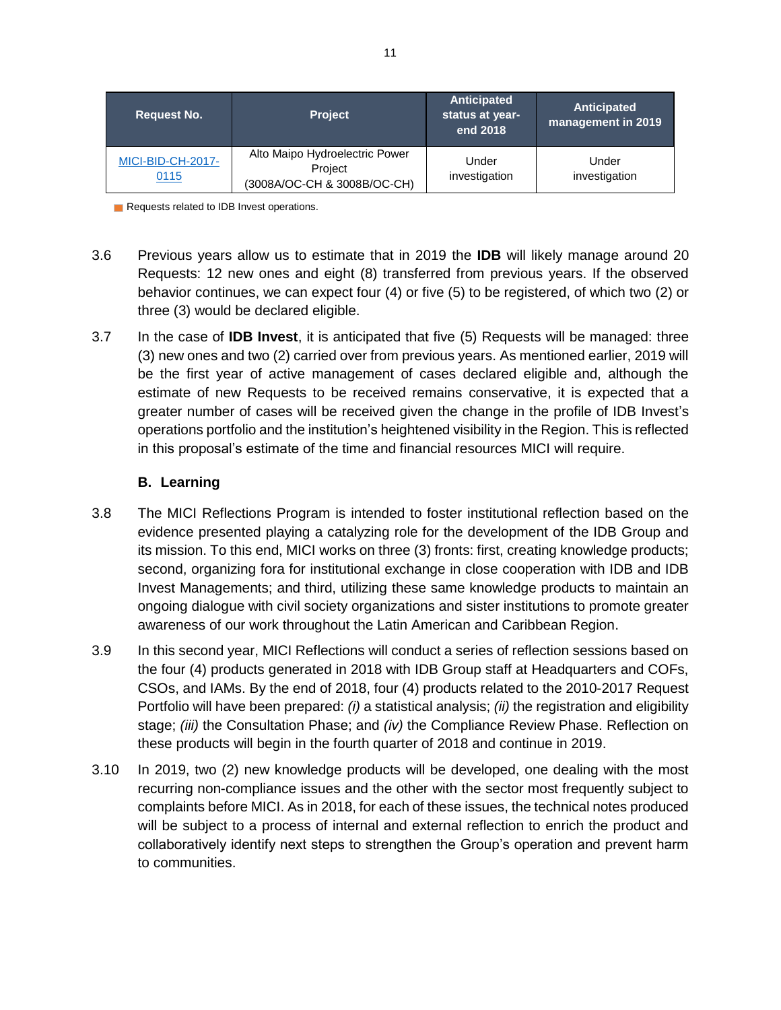| <b>Request No.</b>               | <b>Project</b>                                                           | Anticipated<br>status at year-<br>end 2018 | Anticipated<br>management in 2019 |
|----------------------------------|--------------------------------------------------------------------------|--------------------------------------------|-----------------------------------|
| <b>MICI-BID-CH-2017-</b><br>0115 | Alto Maipo Hydroelectric Power<br>Project<br>(3008A/OC-CH & 3008B/OC-CH) | Under<br>investigation                     | Under<br>investigation            |

Requests related to IDB Invest operations.

- 3.6 Previous years allow us to estimate that in 2019 the **IDB** will likely manage around 20 Requests: 12 new ones and eight (8) transferred from previous years. If the observed behavior continues, we can expect four (4) or five (5) to be registered, of which two (2) or three (3) would be declared eligible.
- 3.7 In the case of **IDB Invest**, it is anticipated that five (5) Requests will be managed: three (3) new ones and two (2) carried over from previous years. As mentioned earlier, 2019 will be the first year of active management of cases declared eligible and, although the estimate of new Requests to be received remains conservative, it is expected that a greater number of cases will be received given the change in the profile of IDB Invest's operations portfolio and the institution's heightened visibility in the Region. This is reflected in this proposal's estimate of the time and financial resources MICI will require.

## **B. Learning**

- <span id="page-11-0"></span>3.8 The MICI Reflections Program is intended to foster institutional reflection based on the evidence presented playing a catalyzing role for the development of the IDB Group and its mission. To this end, MICI works on three (3) fronts: first, creating knowledge products; second, organizing fora for institutional exchange in close cooperation with IDB and IDB Invest Managements; and third, utilizing these same knowledge products to maintain an ongoing dialogue with civil society organizations and sister institutions to promote greater awareness of our work throughout the Latin American and Caribbean Region.
- 3.9 In this second year, MICI Reflections will conduct a series of reflection sessions based on the four (4) products generated in 2018 with IDB Group staff at Headquarters and COFs, CSOs, and IAMs. By the end of 2018, four (4) products related to the 2010-2017 Request Portfolio will have been prepared: *(i)* a statistical analysis; *(ii)* the registration and eligibility stage; *(iii)* the Consultation Phase; and *(iv)* the Compliance Review Phase. Reflection on these products will begin in the fourth quarter of 2018 and continue in 2019.
- 3.10 In 2019, two (2) new knowledge products will be developed, one dealing with the most recurring non-compliance issues and the other with the sector most frequently subject to complaints before MICI. As in 2018, for each of these issues, the technical notes produced will be subject to a process of internal and external reflection to enrich the product and collaboratively identify next steps to strengthen the Group's operation and prevent harm to communities.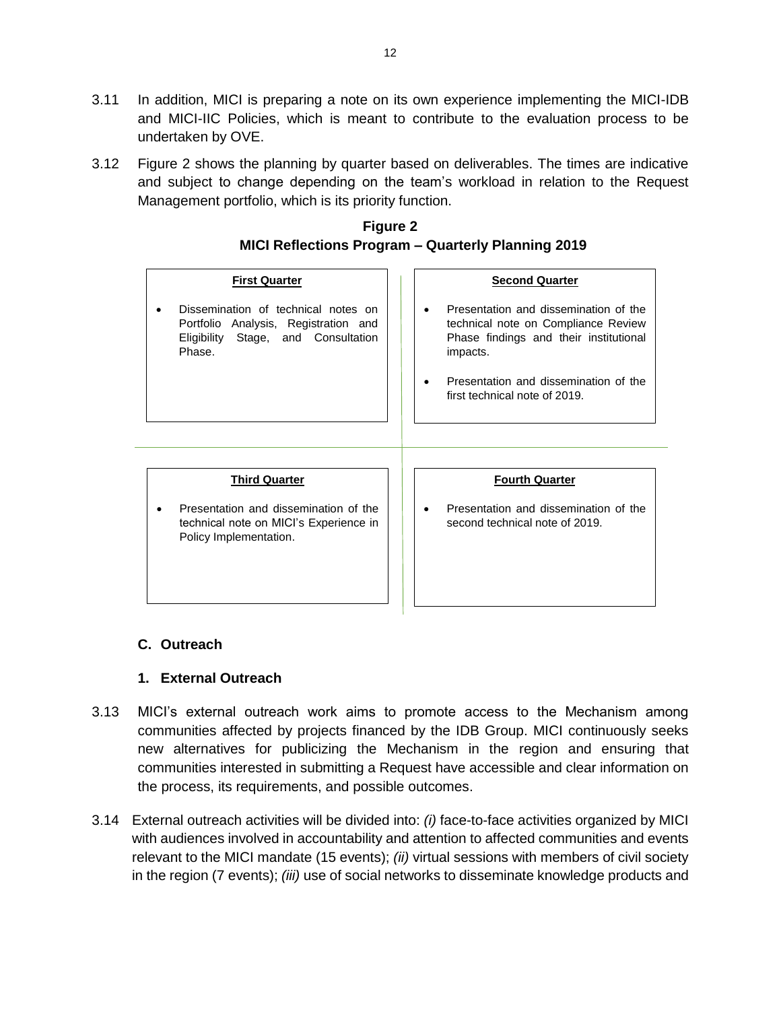- 3.11 In addition, MICI is preparing a note on its own experience implementing the MICI-IDB and MICI-IIC Policies, which is meant to contribute to the evaluation process to be undertaken by OVE.
- 3.12 Figure 2 shows the planning by quarter based on deliverables. The times are indicative and subject to change depending on the team's workload in relation to the Request Management portfolio, which is its priority function.

| $m$ ivii Neliections I Togram – wuarteny I Tanining Z013                                                                          |                                                                                                                                                                                                              |  |  |  |  |  |  |
|-----------------------------------------------------------------------------------------------------------------------------------|--------------------------------------------------------------------------------------------------------------------------------------------------------------------------------------------------------------|--|--|--|--|--|--|
| <b>First Quarter</b>                                                                                                              | <b>Second Quarter</b>                                                                                                                                                                                        |  |  |  |  |  |  |
| Dissemination of technical notes on<br>Portfolio Analysis, Registration and<br>Eligibility Stage, and Consultation<br>Phase.      | Presentation and dissemination of the<br>technical note on Compliance Review<br>Phase findings and their institutional<br>impacts.<br>Presentation and dissemination of the<br>first technical note of 2019. |  |  |  |  |  |  |
| <b>Third Quarter</b><br>Presentation and dissemination of the<br>technical note on MICI's Experience in<br>Policy Implementation. | <b>Fourth Quarter</b><br>Presentation and dissemination of the<br>second technical note of 2019.                                                                                                             |  |  |  |  |  |  |

## **Figure 2 MICI Reflections Program – Quarterly Planning 2019**

# <span id="page-12-0"></span>**C. Outreach**

# **1. External Outreach**

- <span id="page-12-1"></span>3.13 MICI's external outreach work aims to promote access to the Mechanism among communities affected by projects financed by the IDB Group. MICI continuously seeks new alternatives for publicizing the Mechanism in the region and ensuring that communities interested in submitting a Request have accessible and clear information on the process, its requirements, and possible outcomes.
- 3.14 External outreach activities will be divided into: *(i)* face-to-face activities organized by MICI with audiences involved in accountability and attention to affected communities and events relevant to the MICI mandate (15 events); *(ii)* virtual sessions with members of civil society in the region (7 events); *(iii)* use of social networks to disseminate knowledge products and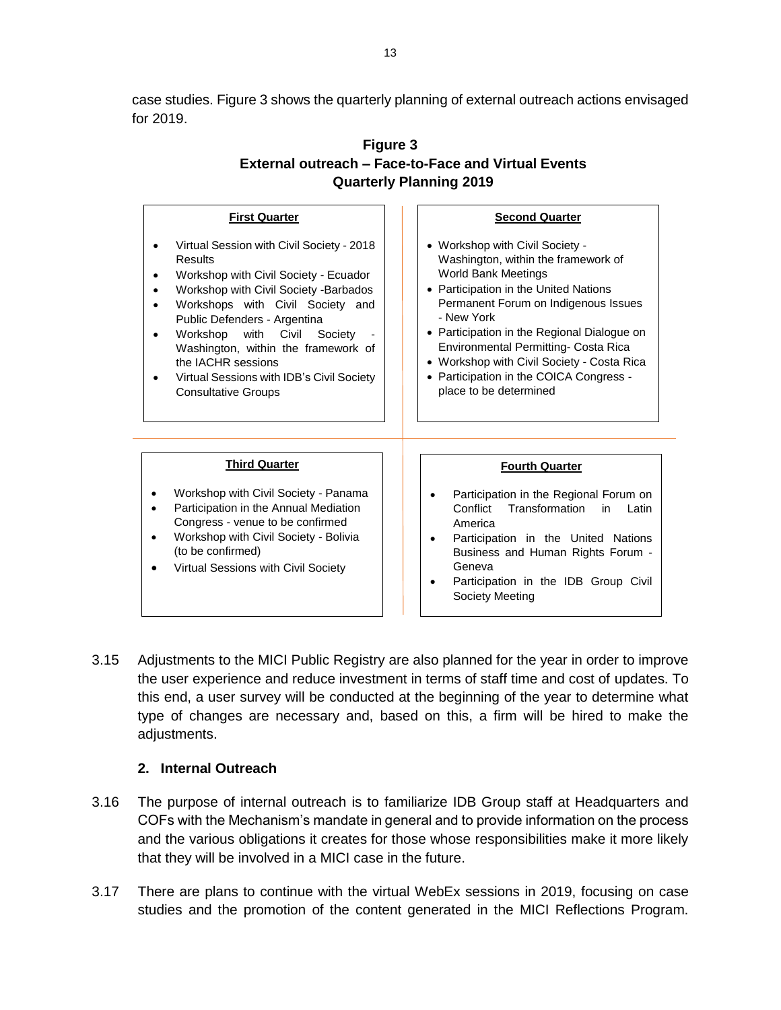case studies. Figure 3 shows the quarterly planning of external outreach actions envisaged for 2019.

| Figure 3                                                   |
|------------------------------------------------------------|
| <b>External outreach - Face-to-Face and Virtual Events</b> |
| <b>Quarterly Planning 2019</b>                             |

| <b>First Quarter</b>                                                                                                                                                                                                                                                                                                                                                                  | <b>Second Quarter</b>                                                                                                                                                                                                                                                                                                                                                                                         |
|---------------------------------------------------------------------------------------------------------------------------------------------------------------------------------------------------------------------------------------------------------------------------------------------------------------------------------------------------------------------------------------|---------------------------------------------------------------------------------------------------------------------------------------------------------------------------------------------------------------------------------------------------------------------------------------------------------------------------------------------------------------------------------------------------------------|
| Virtual Session with Civil Society - 2018<br>Results<br>Workshop with Civil Society - Ecuador<br>Workshop with Civil Society - Barbados<br>Workshops with Civil Society and<br>Public Defenders - Argentina<br>Workshop with Civil<br>Society<br>Washington, within the framework of<br>the IACHR sessions<br>Virtual Sessions with IDB's Civil Society<br><b>Consultative Groups</b> | • Workshop with Civil Society -<br>Washington, within the framework of<br><b>World Bank Meetings</b><br>• Participation in the United Nations<br>Permanent Forum on Indigenous Issues<br>- New York<br>• Participation in the Regional Dialogue on<br>Environmental Permitting- Costa Rica<br>• Workshop with Civil Society - Costa Rica<br>• Participation in the COICA Congress -<br>place to be determined |
| <b>Third Quarter</b><br>Workshop with Civil Society - Panama<br>Participation in the Annual Mediation<br>Congress - venue to be confirmed<br>Workshop with Civil Society - Bolivia<br>(to be confirmed)<br>Virtual Sessions with Civil Society                                                                                                                                        | <b>Fourth Quarter</b><br>Participation in the Regional Forum on<br>$\bullet$<br>Transformation<br>Confiict<br>in<br>Latin<br>America<br>Participation in the United Nations<br>Business and Human Rights Forum -<br>Geneva<br>Participation in the IDB Group Civil<br>٠<br>Society Meeting                                                                                                                    |

3.15 Adjustments to the MICI Public Registry are also planned for the year in order to improve the user experience and reduce investment in terms of staff time and cost of updates. To this end, a user survey will be conducted at the beginning of the year to determine what type of changes are necessary and, based on this, a firm will be hired to make the adjustments.

## **2. Internal Outreach**

- <span id="page-13-0"></span>3.16 The purpose of internal outreach is to familiarize IDB Group staff at Headquarters and COFs with the Mechanism's mandate in general and to provide information on the process and the various obligations it creates for those whose responsibilities make it more likely that they will be involved in a MICI case in the future.
- 3.17 There are plans to continue with the virtual WebEx sessions in 2019, focusing on case studies and the promotion of the content generated in the MICI Reflections Program.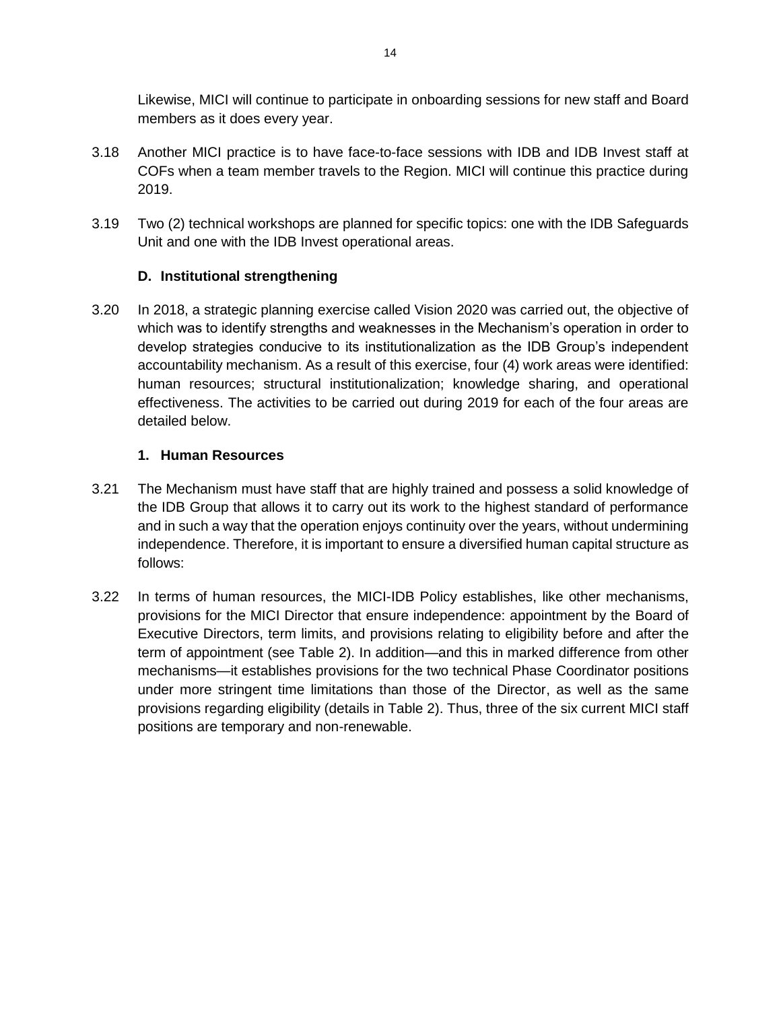Likewise, MICI will continue to participate in onboarding sessions for new staff and Board members as it does every year.

- 3.18 Another MICI practice is to have face-to-face sessions with IDB and IDB Invest staff at COFs when a team member travels to the Region. MICI will continue this practice during 2019.
- 3.19 Two (2) technical workshops are planned for specific topics: one with the IDB Safeguards Unit and one with the IDB Invest operational areas.

## **D. Institutional strengthening**

<span id="page-14-0"></span>3.20 In 2018, a strategic planning exercise called Vision 2020 was carried out, the objective of which was to identify strengths and weaknesses in the Mechanism's operation in order to develop strategies conducive to its institutionalization as the IDB Group's independent accountability mechanism. As a result of this exercise, four (4) work areas were identified: human resources; structural institutionalization; knowledge sharing, and operational effectiveness. The activities to be carried out during 2019 for each of the four areas are detailed below.

## **1. Human Resources**

- <span id="page-14-1"></span>3.21 The Mechanism must have staff that are highly trained and possess a solid knowledge of the IDB Group that allows it to carry out its work to the highest standard of performance and in such a way that the operation enjoys continuity over the years, without undermining independence. Therefore, it is important to ensure a diversified human capital structure as follows:
- 3.22 In terms of human resources, the MICI-IDB Policy establishes, like other mechanisms, provisions for the MICI Director that ensure independence: appointment by the Board of Executive Directors, term limits, and provisions relating to eligibility before and after the term of appointment (see Table 2). In addition—and this in marked difference from other mechanisms—it establishes provisions for the two technical Phase Coordinator positions under more stringent time limitations than those of the Director, as well as the same provisions regarding eligibility (details in Table 2). Thus, three of the six current MICI staff positions are temporary and non-renewable.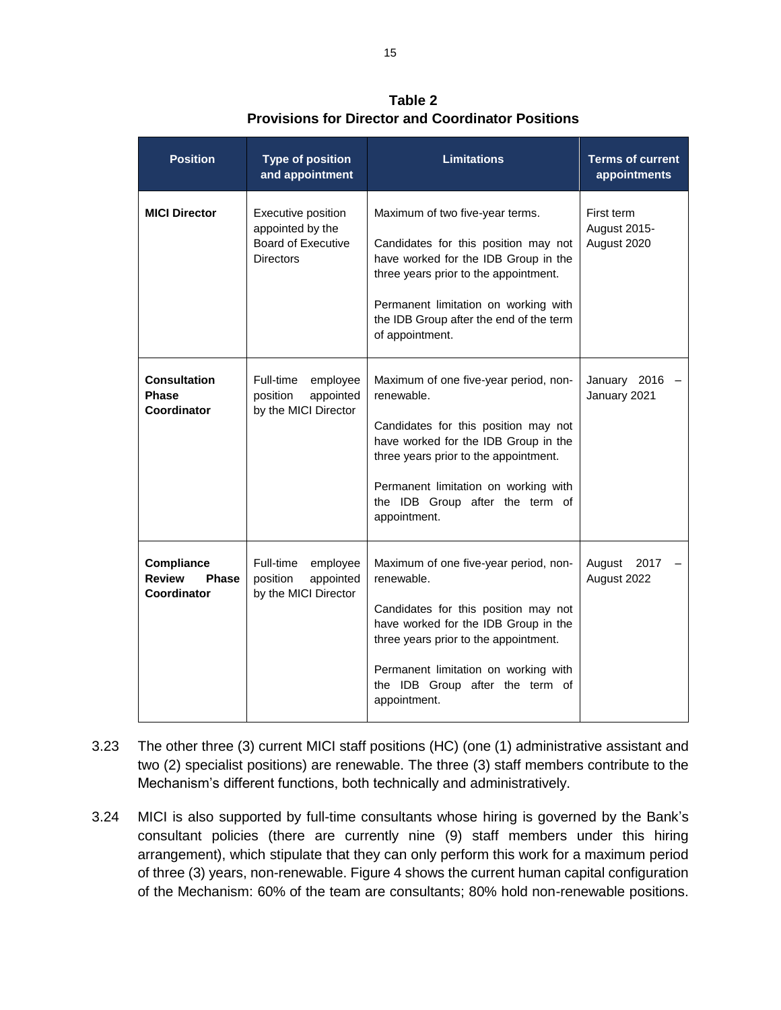| <b>Position</b>                                            | <b>Type of position</b><br>and appointment                                              | <b>Limitations</b>                                                                                                                                                                                                                                                      | <b>Terms of current</b><br>appointments   |
|------------------------------------------------------------|-----------------------------------------------------------------------------------------|-------------------------------------------------------------------------------------------------------------------------------------------------------------------------------------------------------------------------------------------------------------------------|-------------------------------------------|
| <b>MICI Director</b>                                       | Executive position<br>appointed by the<br><b>Board of Executive</b><br><b>Directors</b> | Maximum of two five-year terms.<br>Candidates for this position may not<br>have worked for the IDB Group in the<br>three years prior to the appointment.<br>Permanent limitation on working with<br>the IDB Group after the end of the term<br>of appointment.          | First term<br>August 2015-<br>August 2020 |
| <b>Consultation</b><br><b>Phase</b><br>Coordinator         | Full-time<br>employee<br>appointed<br>position<br>by the MICI Director                  | Maximum of one five-year period, non-<br>renewable.<br>Candidates for this position may not<br>have worked for the IDB Group in the<br>three years prior to the appointment.<br>Permanent limitation on working with<br>the IDB Group after the term of<br>appointment. | January 2016 -<br>January 2021            |
| Compliance<br><b>Review</b><br><b>Phase</b><br>Coordinator | Full-time<br>employee<br>position<br>appointed<br>by the MICI Director                  | Maximum of one five-year period, non-<br>renewable.<br>Candidates for this position may not<br>have worked for the IDB Group in the<br>three years prior to the appointment.<br>Permanent limitation on working with<br>the IDB Group after the term of<br>appointment. | August<br>2017<br>August 2022             |

**Table 2 Provisions for Director and Coordinator Positions**

- 3.23 The other three (3) current MICI staff positions (HC) (one (1) administrative assistant and two (2) specialist positions) are renewable. The three (3) staff members contribute to the Mechanism's different functions, both technically and administratively.
- 3.24 MICI is also supported by full-time consultants whose hiring is governed by the Bank's consultant policies (there are currently nine (9) staff members under this hiring arrangement), which stipulate that they can only perform this work for a maximum period of three (3) years, non-renewable. Figure 4 shows the current human capital configuration of the Mechanism: 60% of the team are consultants; 80% hold non-renewable positions.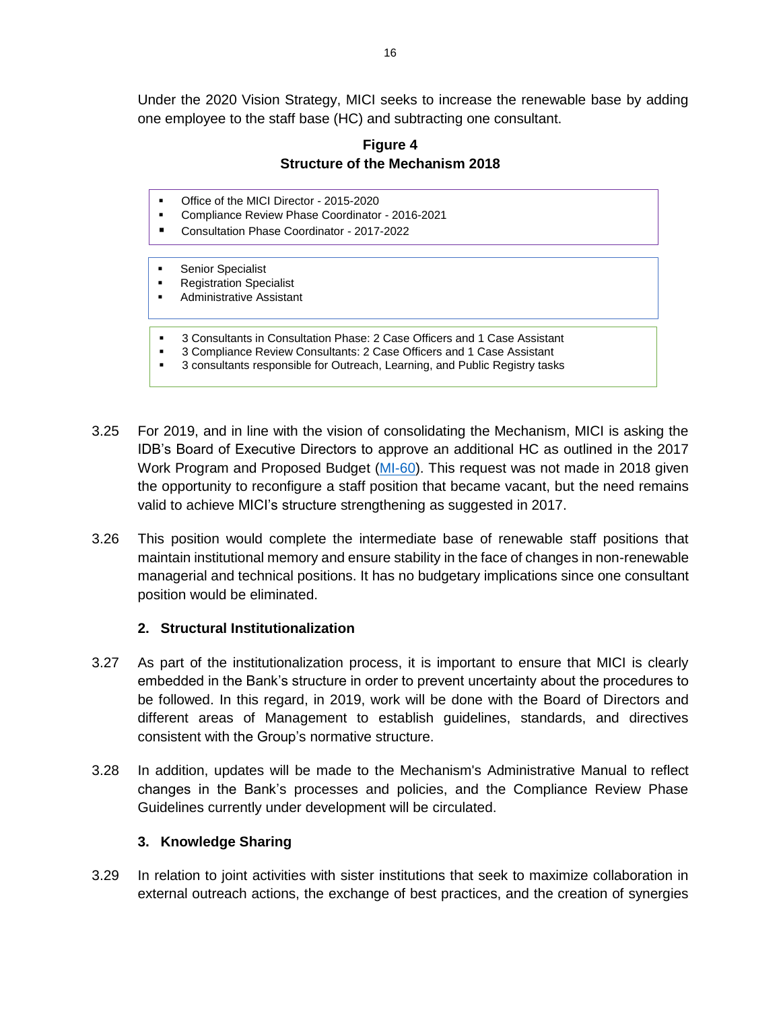Under the 2020 Vision Strategy, MICI seeks to increase the renewable base by adding one employee to the staff base (HC) and subtracting one consultant.

# **Figure 4 Structure of the Mechanism 2018**

- Office of the MICI Director 2015-2020
- Compliance Review Phase Coordinator 2016-2021
- Consultation Phase Coordinator 2017-2022
- Senior Specialist
- **Registration Specialist**
- **Administrative Assistant**
- 3 Consultants in Consultation Phase: 2 Case Officers and 1 Case Assistant
- 3 Compliance Review Consultants: 2 Case Officers and 1 Case Assistant
- 3 consultants responsible for Outreach, Learning, and Public Registry tasks
- 3.25 For 2019, and in line with the vision of consolidating the Mechanism, MICI is asking the IDB's Board of Executive Directors to approve an additional HC as outlined in the 2017 Work Program and Proposed Budget [\(MI-60\)](http://idbdocs.iadb.org/wsdocs/getdocument.aspx?docnum=EZSHARE-939272991-82). This request was not made in 2018 given the opportunity to reconfigure a staff position that became vacant, but the need remains valid to achieve MICI's structure strengthening as suggested in 2017.
- 3.26 This position would complete the intermediate base of renewable staff positions that maintain institutional memory and ensure stability in the face of changes in non-renewable managerial and technical positions. It has no budgetary implications since one consultant position would be eliminated.

## **2. Structural Institutionalization**

- <span id="page-16-0"></span>3.27 As part of the institutionalization process, it is important to ensure that MICI is clearly embedded in the Bank's structure in order to prevent uncertainty about the procedures to be followed. In this regard, in 2019, work will be done with the Board of Directors and different areas of Management to establish guidelines, standards, and directives consistent with the Group's normative structure.
- 3.28 In addition, updates will be made to the Mechanism's Administrative Manual to reflect changes in the Bank's processes and policies, and the Compliance Review Phase Guidelines currently under development will be circulated.

## **3. Knowledge Sharing**

<span id="page-16-1"></span>3.29 In relation to joint activities with sister institutions that seek to maximize collaboration in external outreach actions, the exchange of best practices, and the creation of synergies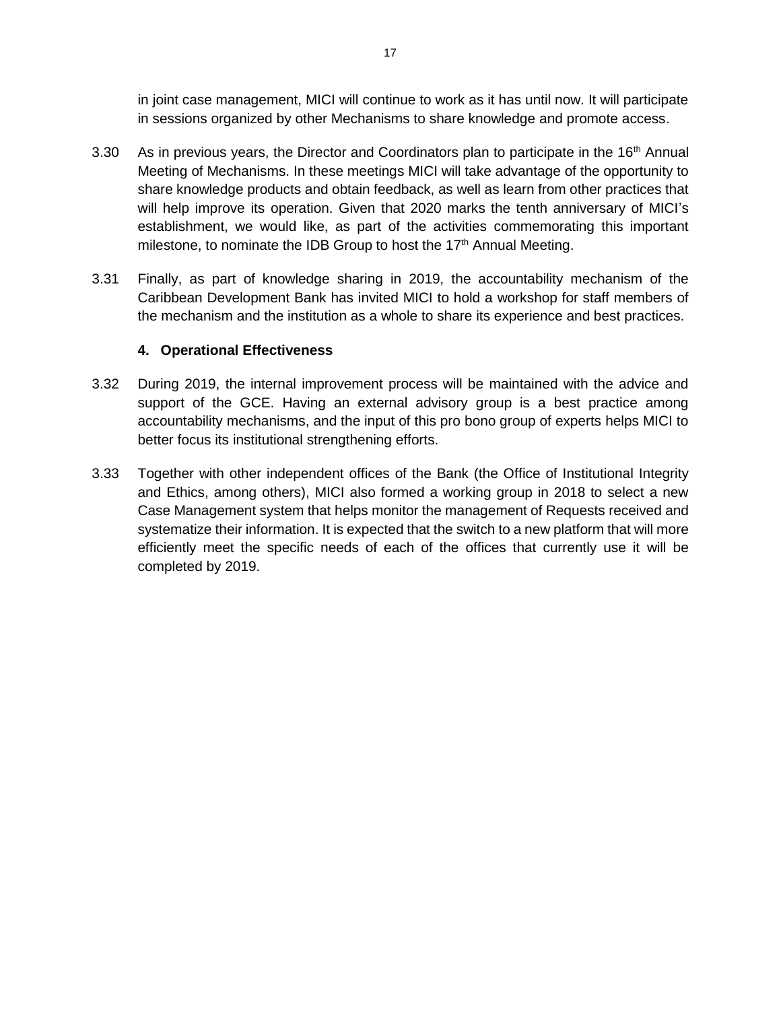in joint case management, MICI will continue to work as it has until now. It will participate in sessions organized by other Mechanisms to share knowledge and promote access.

- 3.30 As in previous years, the Director and Coordinators plan to participate in the  $16<sup>th</sup>$  Annual Meeting of Mechanisms. In these meetings MICI will take advantage of the opportunity to share knowledge products and obtain feedback, as well as learn from other practices that will help improve its operation. Given that 2020 marks the tenth anniversary of MICI's establishment, we would like, as part of the activities commemorating this important milestone, to nominate the IDB Group to host the 17<sup>th</sup> Annual Meeting.
- 3.31 Finally, as part of knowledge sharing in 2019, the accountability mechanism of the Caribbean Development Bank has invited MICI to hold a workshop for staff members of the mechanism and the institution as a whole to share its experience and best practices.

## **4. Operational Effectiveness**

- <span id="page-17-0"></span>3.32 During 2019, the internal improvement process will be maintained with the advice and support of the GCE. Having an external advisory group is a best practice among accountability mechanisms, and the input of this pro bono group of experts helps MICI to better focus its institutional strengthening efforts.
- 3.33 Together with other independent offices of the Bank (the Office of Institutional Integrity and Ethics, among others), MICI also formed a working group in 2018 to select a new Case Management system that helps monitor the management of Requests received and systematize their information. It is expected that the switch to a new platform that will more efficiently meet the specific needs of each of the offices that currently use it will be completed by 2019.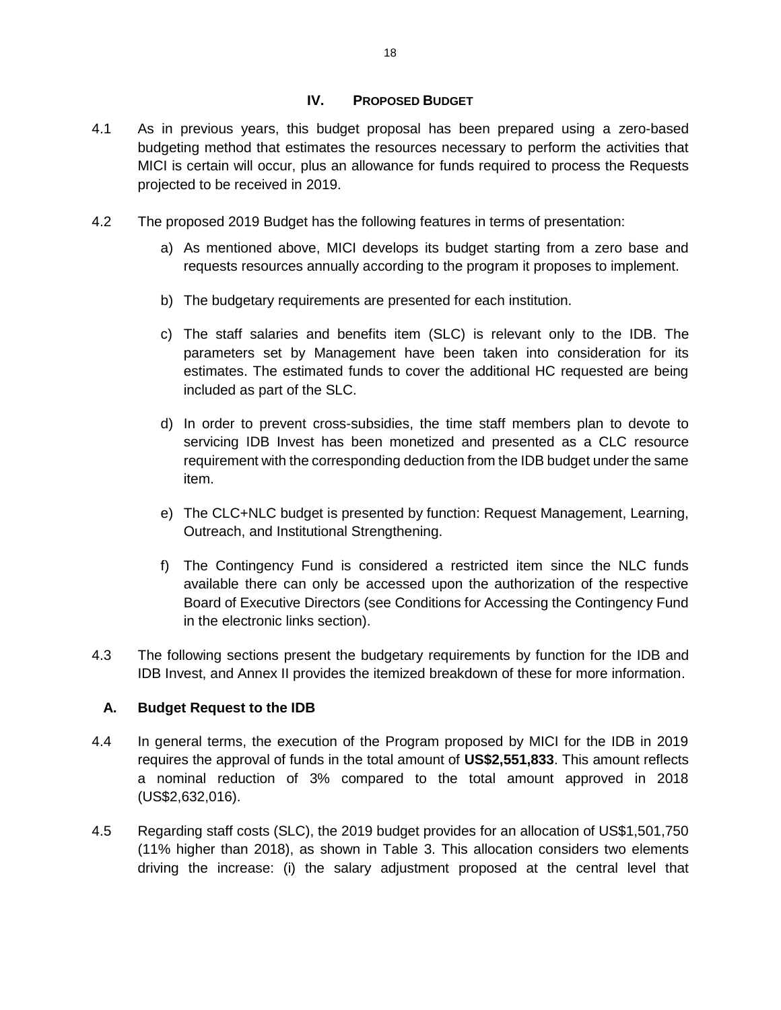### **IV. PROPOSED BUDGET**

- <span id="page-18-0"></span>4.1 As in previous years, this budget proposal has been prepared using a zero-based budgeting method that estimates the resources necessary to perform the activities that MICI is certain will occur, plus an allowance for funds required to process the Requests projected to be received in 2019.
- 4.2 The proposed 2019 Budget has the following features in terms of presentation:
	- a) As mentioned above, MICI develops its budget starting from a zero base and requests resources annually according to the program it proposes to implement.
	- b) The budgetary requirements are presented for each institution.
	- c) The staff salaries and benefits item (SLC) is relevant only to the IDB. The parameters set by Management have been taken into consideration for its estimates. The estimated funds to cover the additional HC requested are being included as part of the SLC.
	- d) In order to prevent cross-subsidies, the time staff members plan to devote to servicing IDB Invest has been monetized and presented as a CLC resource requirement with the corresponding deduction from the IDB budget under the same item.
	- e) The CLC+NLC budget is presented by function: Request Management, Learning, Outreach, and Institutional Strengthening.
	- f) The Contingency Fund is considered a restricted item since the NLC funds available there can only be accessed upon the authorization of the respective Board of Executive Directors (see Conditions for Accessing the Contingency Fund in the electronic links section).
- 4.3 The following sections present the budgetary requirements by function for the IDB and IDB Invest, and Annex II provides the itemized breakdown of these for more information.

## <span id="page-18-1"></span>**A. Budget Request to the IDB**

- 4.4 In general terms, the execution of the Program proposed by MICI for the IDB in 2019 requires the approval of funds in the total amount of **US\$2,551,833**. This amount reflects a nominal reduction of 3% compared to the total amount approved in 2018 (US\$2,632,016).
- 4.5 Regarding staff costs (SLC), the 2019 budget provides for an allocation of US\$1,501,750 (11% higher than 2018), as shown in Table 3. This allocation considers two elements driving the increase: (i) the salary adjustment proposed at the central level that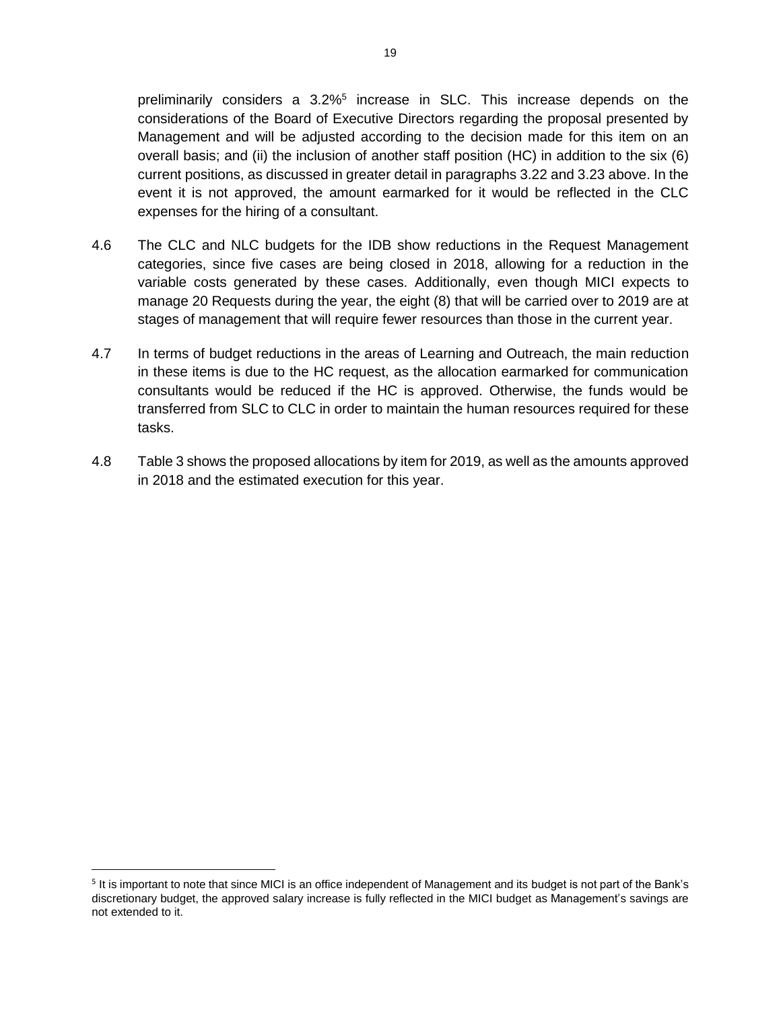preliminarily considers a  $3.2\%$ <sup>5</sup> increase in SLC. This increase depends on the considerations of the Board of Executive Directors regarding the proposal presented by Management and will be adjusted according to the decision made for this item on an overall basis; and (ii) the inclusion of another staff position (HC) in addition to the six (6) current positions, as discussed in greater detail in paragraphs 3.22 and 3.23 above. In the event it is not approved, the amount earmarked for it would be reflected in the CLC expenses for the hiring of a consultant.

- 4.6 The CLC and NLC budgets for the IDB show reductions in the Request Management categories, since five cases are being closed in 2018, allowing for a reduction in the variable costs generated by these cases. Additionally, even though MICI expects to manage 20 Requests during the year, the eight (8) that will be carried over to 2019 are at stages of management that will require fewer resources than those in the current year.
- 4.7 In terms of budget reductions in the areas of Learning and Outreach, the main reduction in these items is due to the HC request, as the allocation earmarked for communication consultants would be reduced if the HC is approved. Otherwise, the funds would be transferred from SLC to CLC in order to maintain the human resources required for these tasks.
- 4.8 Table 3 shows the proposed allocations by item for 2019, as well as the amounts approved in 2018 and the estimated execution for this year.

 $\overline{a}$ 

<sup>&</sup>lt;sup>5</sup> It is important to note that since MICI is an office independent of Management and its budget is not part of the Bank's discretionary budget, the approved salary increase is fully reflected in the MICI budget as Management's savings are not extended to it.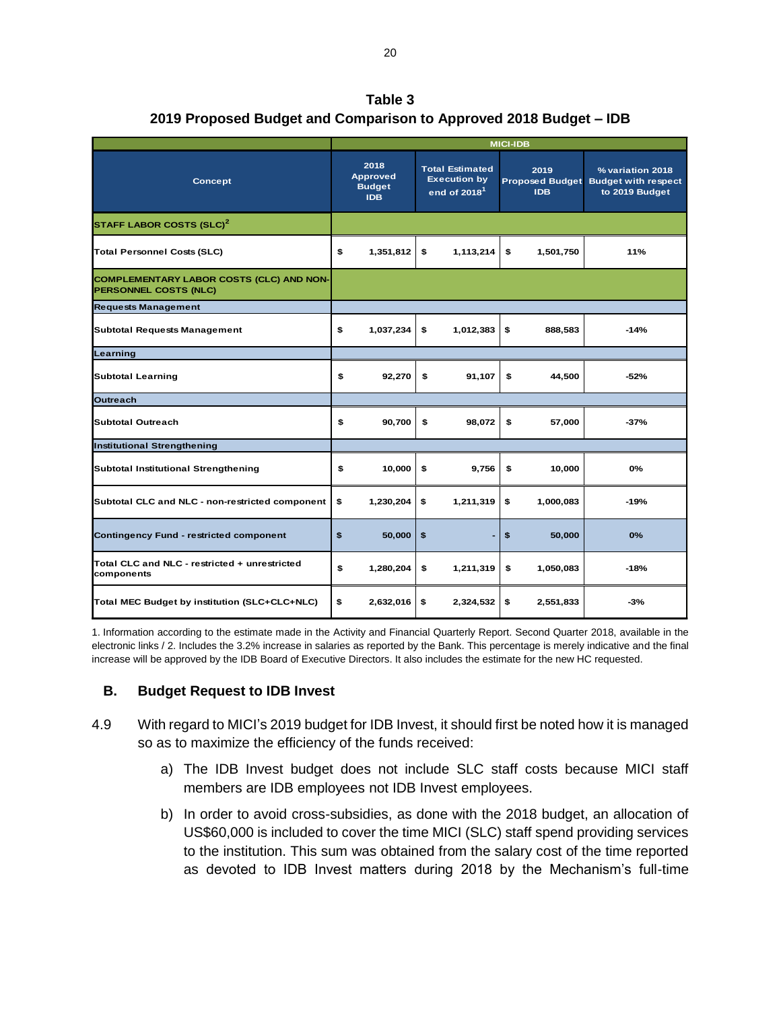| Table 3                                                           |  |
|-------------------------------------------------------------------|--|
| 2019 Proposed Budget and Comparison to Approved 2018 Budget – IDB |  |

|                                                                   | <b>MICI-IDB</b> |                                                        |    |                                                                 |    |                    |                                                                           |
|-------------------------------------------------------------------|-----------------|--------------------------------------------------------|----|-----------------------------------------------------------------|----|--------------------|---------------------------------------------------------------------------|
| Concept                                                           |                 | 2018<br><b>Approved</b><br><b>Budget</b><br><b>IDB</b> |    | <b>Total Estimated</b><br><b>Execution by</b><br>end of $20181$ |    | 2019<br><b>IDB</b> | % variation 2018<br>Proposed Budget Budget with respect<br>to 2019 Budget |
| STAFF LABOR COSTS (SLC) <sup>2</sup>                              |                 |                                                        |    |                                                                 |    |                    |                                                                           |
| <b>Total Personnel Costs (SLC)</b>                                | \$              | 1,351,812                                              | \$ | 1,113,214                                                       | \$ | 1,501,750          | 11%                                                                       |
| COMPLEMENTARY LABOR COSTS (CLC) AND NON-<br>PERSONNEL COSTS (NLC) |                 |                                                        |    |                                                                 |    |                    |                                                                           |
| <b>Requests Management</b>                                        |                 |                                                        |    |                                                                 |    |                    |                                                                           |
| <b>Subtotal Requests Management</b>                               | \$              | 1,037,234                                              | \$ | 1,012,383                                                       | \$ | 888,583            | $-14%$                                                                    |
| Learning                                                          |                 |                                                        |    |                                                                 |    |                    |                                                                           |
| <b>Subtotal Learning</b>                                          | \$              | 92,270                                                 | \$ | 91,107                                                          | \$ | 44,500             | $-52%$                                                                    |
| <b>Outreach</b>                                                   |                 |                                                        |    |                                                                 |    |                    |                                                                           |
| <b>Subtotal Outreach</b>                                          | \$              | 90,700                                                 | £. | 98,072                                                          | \$ | 57,000             | $-37%$                                                                    |
| <b>Institutional Strengthening</b>                                |                 |                                                        |    |                                                                 |    |                    |                                                                           |
| Subtotal Institutional Strengthening                              | \$              | 10,000                                                 | \$ | 9,756                                                           | \$ | 10,000             | 0%                                                                        |
| Subtotal CLC and NLC - non-restricted component                   | £.              | 1,230,204                                              | \$ | 1,211,319                                                       | \$ | 1,000,083          | $-19%$                                                                    |
| <b>Contingency Fund - restricted component</b>                    | \$              | 50,000                                                 | \$ |                                                                 | \$ | 50,000             | 0%                                                                        |
| Total CLC and NLC - restricted + unrestricted<br>components       | \$              | 1,280,204                                              | \$ | 1,211,319                                                       | \$ | 1,050,083          | $-18%$                                                                    |
| Total MEC Budget by institution (SLC+CLC+NLC)                     | \$              | 2,632,016                                              | \$ | 2,324,532                                                       | \$ | 2,551,833          | $-3%$                                                                     |

1. Information according to the estimate made in the Activity and Financial Quarterly Report. Second Quarter 2018, available in the electronic links / 2. Includes the 3.2% increase in salaries as reported by the Bank. This percentage is merely indicative and the final increase will be approved by the IDB Board of Executive Directors. It also includes the estimate for the new HC requested.

## <span id="page-20-0"></span>**B. Budget Request to IDB Invest**

- 4.9 With regard to MICI's 2019 budget for IDB Invest, it should first be noted how it is managed so as to maximize the efficiency of the funds received:
	- a) The IDB Invest budget does not include SLC staff costs because MICI staff members are IDB employees not IDB Invest employees.
	- b) In order to avoid cross-subsidies, as done with the 2018 budget, an allocation of US\$60,000 is included to cover the time MICI (SLC) staff spend providing services to the institution. This sum was obtained from the salary cost of the time reported as devoted to IDB Invest matters during 2018 by the Mechanism's full-time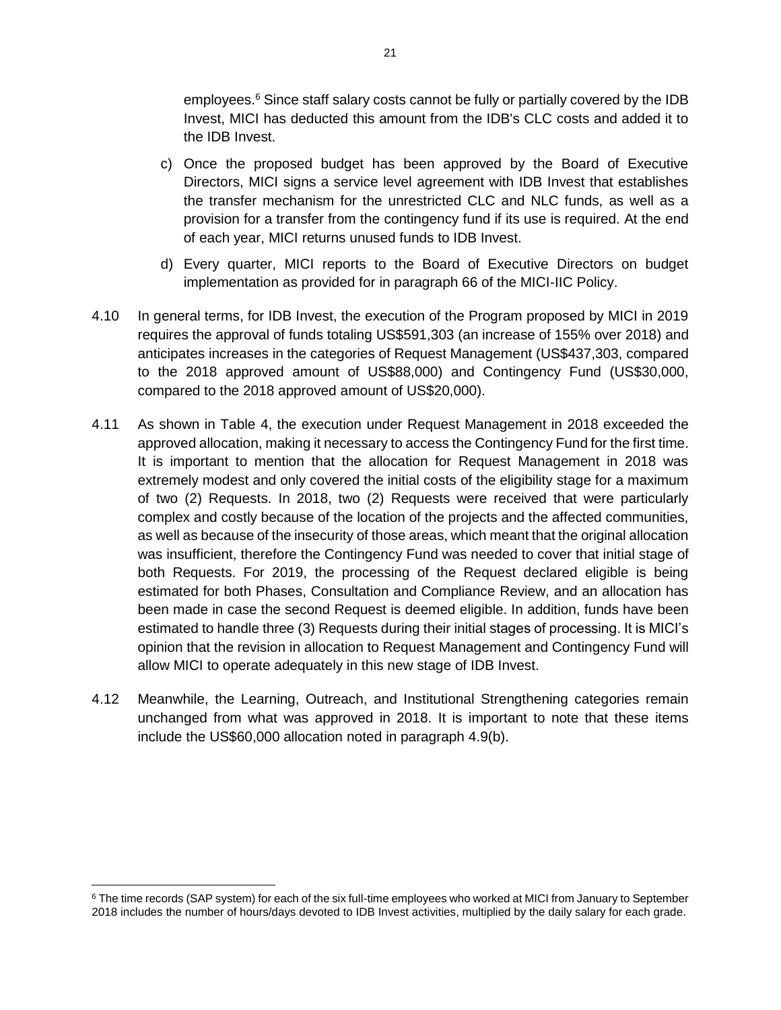emplovees.<sup>6</sup> Since staff salary costs cannot be fully or partially covered by the IDB Invest, MICI has deducted this amount from the IDB's CLC costs and added it to the IDB Invest.

- c) Once the proposed budget has been approved by the Board of Executive Directors, MICI signs a service level agreement with IDB Invest that establishes the transfer mechanism for the unrestricted CLC and NLC funds, as well as a provision for a transfer from the contingency fund if its use is required. At the end of each year, MICI returns unused funds to IDB Invest.
- d) Every quarter, MICI reports to the Board of Executive Directors on budget implementation as provided for in paragraph 66 of the MICI-IIC Policy.
- 4.10 In general terms, for IDB Invest, the execution of the Program proposed by MICI in 2019 requires the approval of funds totaling US\$591,303 (an increase of 155% over 2018) and anticipates increases in the categories of Request Management (US\$437,303, compared to the 2018 approved amount of US\$88,000) and Contingency Fund (US\$30,000, compared to the 2018 approved amount of US\$20,000).
- 4.11 As shown in Table 4, the execution under Request Management in 2018 exceeded the approved allocation, making it necessary to access the Contingency Fund for the first time. It is important to mention that the allocation for Request Management in 2018 was extremely modest and only covered the initial costs of the eligibility stage for a maximum of two (2) Requests. In 2018, two (2) Requests were received that were particularly complex and costly because of the location of the projects and the affected communities, as well as because of the insecurity of those areas, which meant that the original allocation was insufficient, therefore the Contingency Fund was needed to cover that initial stage of both Requests. For 2019, the processing of the Request declared eligible is being estimated for both Phases, Consultation and Compliance Review, and an allocation has been made in case the second Request is deemed eligible. In addition, funds have been estimated to handle three (3) Requests during their initial stages of processing. It is MICI's opinion that the revision in allocation to Request Management and Contingency Fund will allow MICI to operate adequately in this new stage of IDB Invest.
- 4.12 Meanwhile, the Learning, Outreach, and Institutional Strengthening categories remain unchanged from what was approved in 2018. It is important to note that these items include the US\$60,000 allocation noted in paragraph 4.9(b).

 $\overline{\phantom{a}}$ <sup>6</sup> The time records (SAP system) for each of the six full-time employees who worked at MICI from January to September 2018 includes the number of hours/days devoted to IDB Invest activities, multiplied by the daily salary for each grade.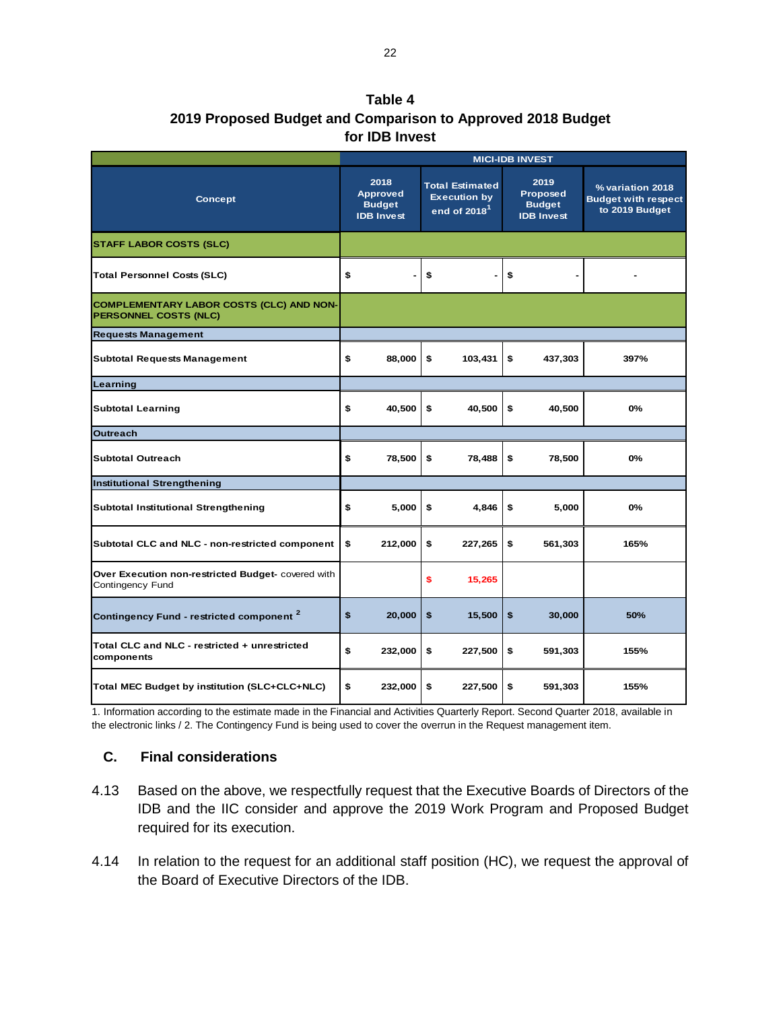**Table 4 2019 Proposed Budget and Comparison to Approved 2018 Budget for IDB Invest**

|                                                                                 | <b>MICI-IDB INVEST</b> |                                                               |    |                                                                           |    |                                                        |                                                                  |
|---------------------------------------------------------------------------------|------------------------|---------------------------------------------------------------|----|---------------------------------------------------------------------------|----|--------------------------------------------------------|------------------------------------------------------------------|
| <b>Concept</b>                                                                  |                        | 2018<br><b>Approved</b><br><b>Budget</b><br><b>IDB Invest</b> |    | <b>Total Estimated</b><br><b>Execution by</b><br>end of 2018 <sup>1</sup> |    | 2019<br>Proposed<br><b>Budget</b><br><b>IDB Invest</b> | % variation 2018<br><b>Budget with respect</b><br>to 2019 Budget |
| <b>STAFF LABOR COSTS (SLC)</b>                                                  |                        |                                                               |    |                                                                           |    |                                                        |                                                                  |
| <b>Total Personnel Costs (SLC)</b>                                              | \$                     |                                                               | \$ |                                                                           | \$ |                                                        |                                                                  |
| <b>COMPLEMENTARY LABOR COSTS (CLC) AND NON-</b><br><b>PERSONNEL COSTS (NLC)</b> |                        |                                                               |    |                                                                           |    |                                                        |                                                                  |
| <b>Requests Management</b>                                                      |                        |                                                               |    |                                                                           |    |                                                        |                                                                  |
| <b>Subtotal Requests Management</b>                                             | \$                     | 88,000                                                        | \$ | 103,431                                                                   | \$ | 437,303                                                | 397%                                                             |
| Learning                                                                        |                        |                                                               |    |                                                                           |    |                                                        |                                                                  |
| <b>Subtotal Learning</b>                                                        | \$                     | 40,500                                                        | \$ | 40,500                                                                    | \$ | 40,500                                                 | 0%                                                               |
| <b>Outreach</b>                                                                 |                        |                                                               |    |                                                                           |    |                                                        |                                                                  |
| <b>Subtotal Outreach</b>                                                        | \$                     | 78,500                                                        | \$ | 78,488                                                                    | \$ | 78,500                                                 | 0%                                                               |
| <b>Institutional Strengthening</b>                                              |                        |                                                               |    |                                                                           |    |                                                        |                                                                  |
| Subtotal Institutional Strengthening                                            | \$                     | 5,000                                                         | \$ | 4,846                                                                     | \$ | 5,000                                                  | 0%                                                               |
| Subtotal CLC and NLC - non-restricted component                                 | \$                     | 212,000                                                       | \$ | 227,265                                                                   | \$ | 561,303                                                | 165%                                                             |
| Over Execution non-restricted Budget- covered with<br>Contingency Fund          |                        |                                                               | \$ | 15,265                                                                    |    |                                                        |                                                                  |
| Contingency Fund - restricted component <sup>2</sup>                            | \$                     | 20,000                                                        | \$ | 15,500                                                                    | \$ | 30,000                                                 | 50%                                                              |
| Total CLC and NLC - restricted + unrestricted<br>components                     | \$                     | 232,000                                                       | \$ | 227,500                                                                   | \$ | 591,303                                                | 155%                                                             |
| Total MEC Budget by institution (SLC+CLC+NLC)                                   | \$                     | 232,000                                                       | \$ | 227,500                                                                   | \$ | 591,303                                                | 155%                                                             |

1. Information according to the estimate made in the Financial and Activities Quarterly Report. Second Quarter 2018, available in the electronic links / 2. The Contingency Fund is being used to cover the overrun in the Request management item.

## <span id="page-22-0"></span>**C. Final considerations**

- 4.13 Based on the above, we respectfully request that the Executive Boards of Directors of the IDB and the IIC consider and approve the 2019 Work Program and Proposed Budget required for its execution.
- 4.14 In relation to the request for an additional staff position (HC), we request the approval of the Board of Executive Directors of the IDB.